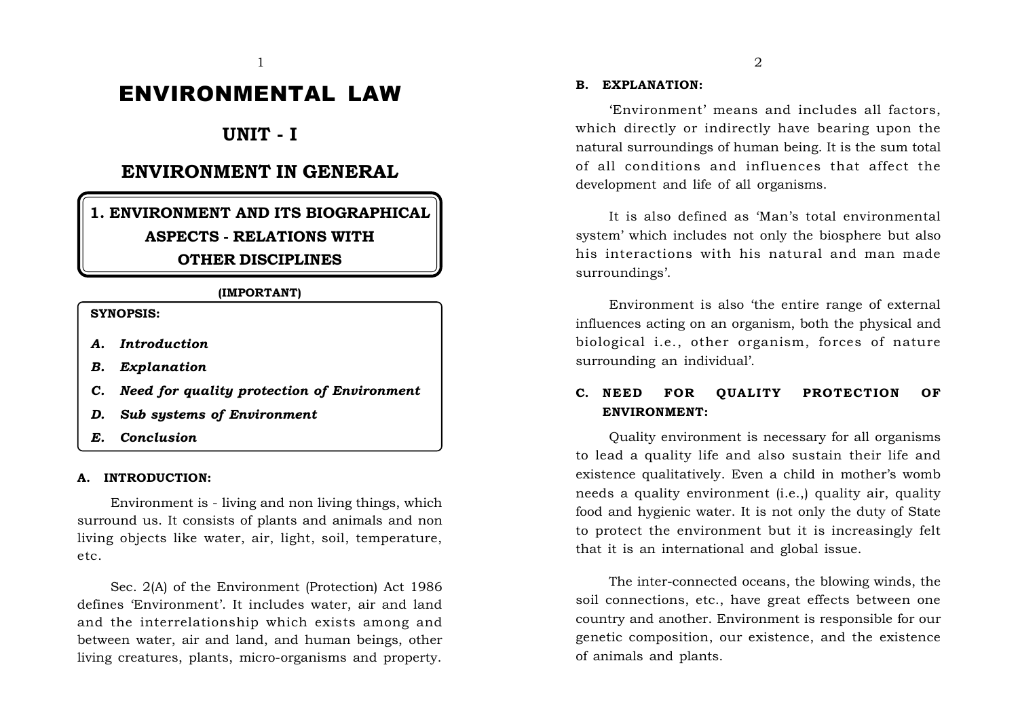# ENVIRONMENTAL LAW

# **UNIT - I**

# **ENVIRONMENT IN GENERAL**

# **1. ENVIRONMENT AND ITS BIOGRAPHICAL ASPECTS - RELATIONS WITH OTHER DISCIPLINES**

#### **(IMPORTANT)**

**SYNOPSIS:**

- *A. Introduction*
- *B. Explanation*
- *C. Need for quality protection of Environment*
- *D. Sub systems of Environment*
- *E. Conclusion*

#### **A. INTRODUCTION:**

Environment is - living and non living things, which surround us. It consists of plants and animals and non living objects like water, air, light, soil, temperature, etc.

Sec. 2(A) of the Environment (Protection) Act 1986 defines 'Environment'. It includes water, air and land and the interrelationship which exists among and between water, air and land, and human beings, other living creatures, plants, micro-organisms and property.

#### **B. EXPLANATION:**

'Environment' means and includes all factors, which directly or indirectly have bearing upon the natural surroundings of human being. It is the sum total of all conditions and influences that affect the development and life of all organisms.

It is also defined as 'Man's total environmental system' which includes not only the biosphere but also his interactions with his natural and man made surroundings'.

Environment is also 'the entire range of external influences acting on an organism, both the physical and biological i.e., other organism, forces of nature surrounding an individual'.

# **C. NEED FOR OUALITY PROTECTION OF ENVIRONMENT:**

Quality environment is necessary for all organisms to lead a quality life and also sustain their life and existence qualitatively. Even a child in mother's womb needs a quality environment (i.e.,) quality air, quality food and hygienic water. It is not only the duty of State to protect the environment but it is increasingly felt that it is an international and global issue.

The inter-connected oceans, the blowing winds, the soil connections, etc., have great effects between one country and another. Environment is responsible for our genetic composition, our existence, and the existence of animals and plants.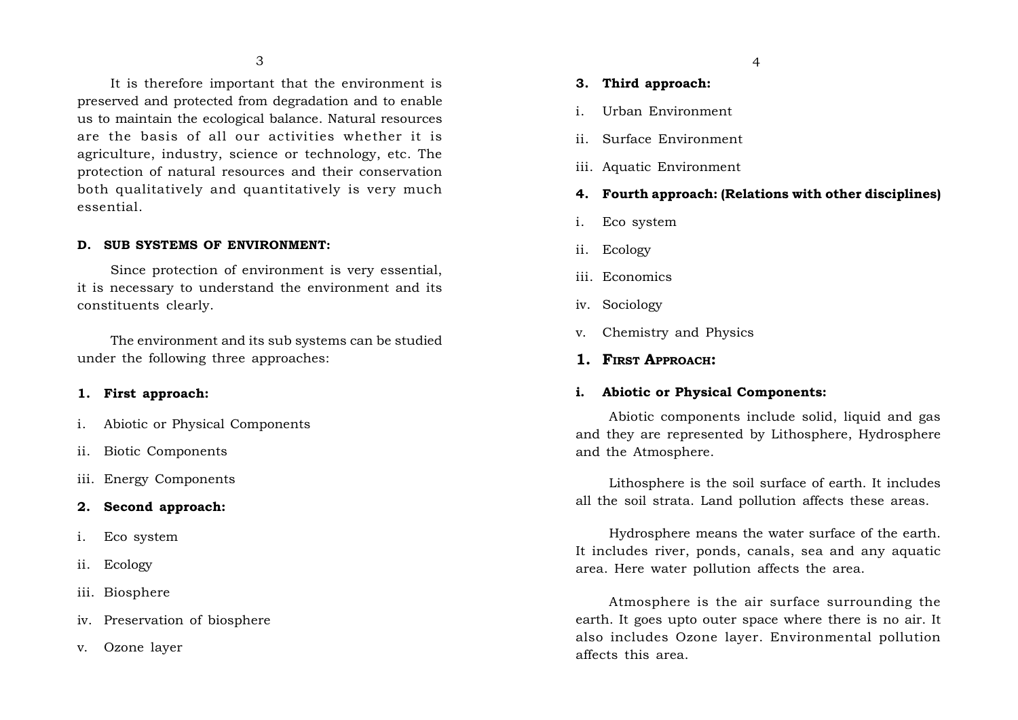It is therefore important that the environment is preserved and protected from degradation and to enable us to maintain the ecological balance. Natural resources are the basis of all our activities whether it is agriculture, industry, science or technology, etc. The protection of natural resources and their conservation both qualitatively and quantitatively is very much essential.

#### **D. SUB SYSTEMS OF ENVIRONMENT:**

Since protection of environment is very essential, it is necessary to understand the environment and its constituents clearly.

The environment and its sub systems can be studied under the following three approaches:

#### **1. First approach:**

- i. Abiotic or Physical Components
- ii. Biotic Components
- iii. Energy Components

#### **2. Second approach:**

- i. Eco system
- ii. Ecology
- iii. Biosphere
- iv. Preservation of biosphere
- v. Ozone layer

#### **3. Third approach:**

- i. Urban Environment
- ii. Surface Environment
- iii. Aquatic Environment

## **4. Fourth approach: (Relations with other disciplines)**

- i. Eco system
- ii. Ecology
- iii. Economics
- iv. Sociology
- v. Chemistry and Physics
- **1. FIRST APPROACH:**

#### **i. Abiotic or Physical Components:**

Abiotic components include solid, liquid and gas and they are represented by Lithosphere, Hydrosphere and the Atmosphere.

Lithosphere is the soil surface of earth. It includes all the soil strata. Land pollution affects these areas.

Hydrosphere means the water surface of the earth. It includes river, ponds, canals, sea and any aquatic area. Here water pollution affects the area.

Atmosphere is the air surface surrounding the earth. It goes upto outer space where there is no air. It also includes Ozone layer. Environmental pollution affects this area.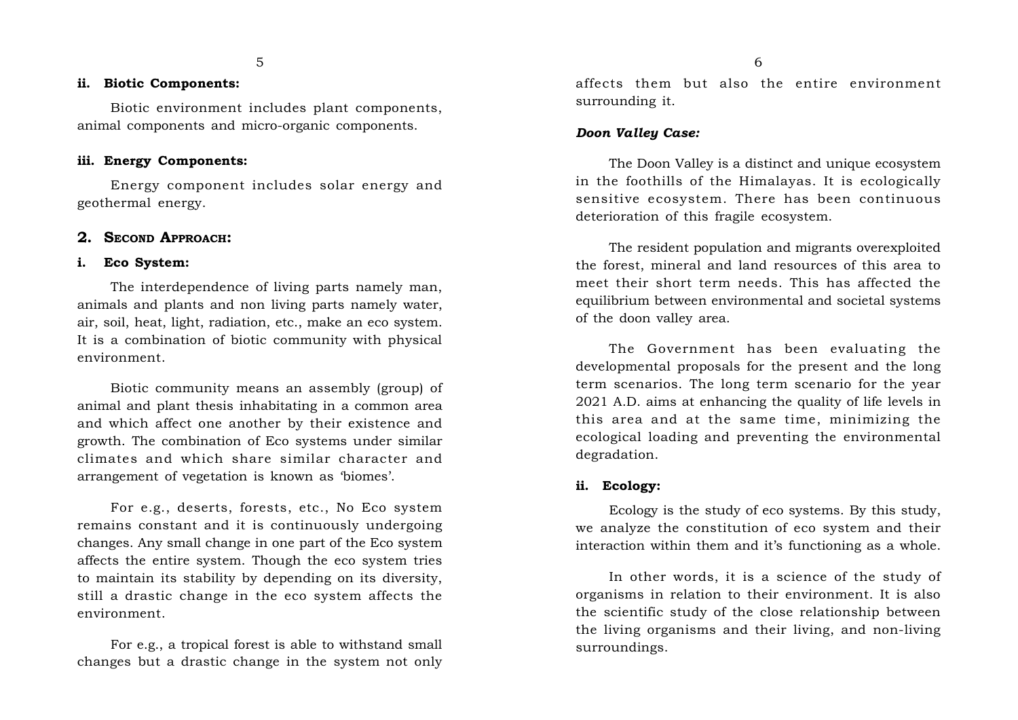#### **ii. Biotic Components:**

Biotic environment includes plant components, animal components and micro-organic components.

### **iii. Energy Components:**

Energy component includes solar energy and geothermal energy.

#### **2. SECOND APPROACH:**

#### **i. Eco System:**

The interdependence of living parts namely man, animals and plants and non living parts namely water, air, soil, heat, light, radiation, etc., make an eco system. It is a combination of biotic community with physical environment.

Biotic community means an assembly (group) of animal and plant thesis inhabitating in a common area and which affect one another by their existence and growth. The combination of Eco systems under similar climates and which share similar character and arrangement of vegetation is known as 'biomes'.

For e.g., deserts, forests, etc., No Eco system remains constant and it is continuously undergoing changes. Any small change in one part of the Eco system affects the entire system. Though the eco system tries to maintain its stability by depending on its diversity, still a drastic change in the eco system affects the environment.

For e.g., a tropical forest is able to withstand small changes but a drastic change in the system not only

affects them but also the entire environment surrounding it.

#### *Doon Valley Case:*

The Doon Valley is a distinct and unique ecosystem in the foothills of the Himalayas. It is ecologically sensitive ecosystem. There has been continuous deterioration of this fragile ecosystem.

The resident population and migrants overexploited the forest, mineral and land resources of this area to meet their short term needs. This has affected the equilibrium between environmental and societal systems of the doon valley area.

The Government has been evaluating the developmental proposals for the present and the long term scenarios. The long term scenario for the year 2021 A.D. aims at enhancing the quality of life levels in this area and at the same time, minimizing the ecological loading and preventing the environmental degradation.

#### **ii. Ecology:**

Ecology is the study of eco systems. By this study, we analyze the constitution of eco system and their interaction within them and it's functioning as a whole.

In other words, it is a science of the study of organisms in relation to their environment. It is also the scientific study of the close relationship between the living organisms and their living, and non-living surroundings.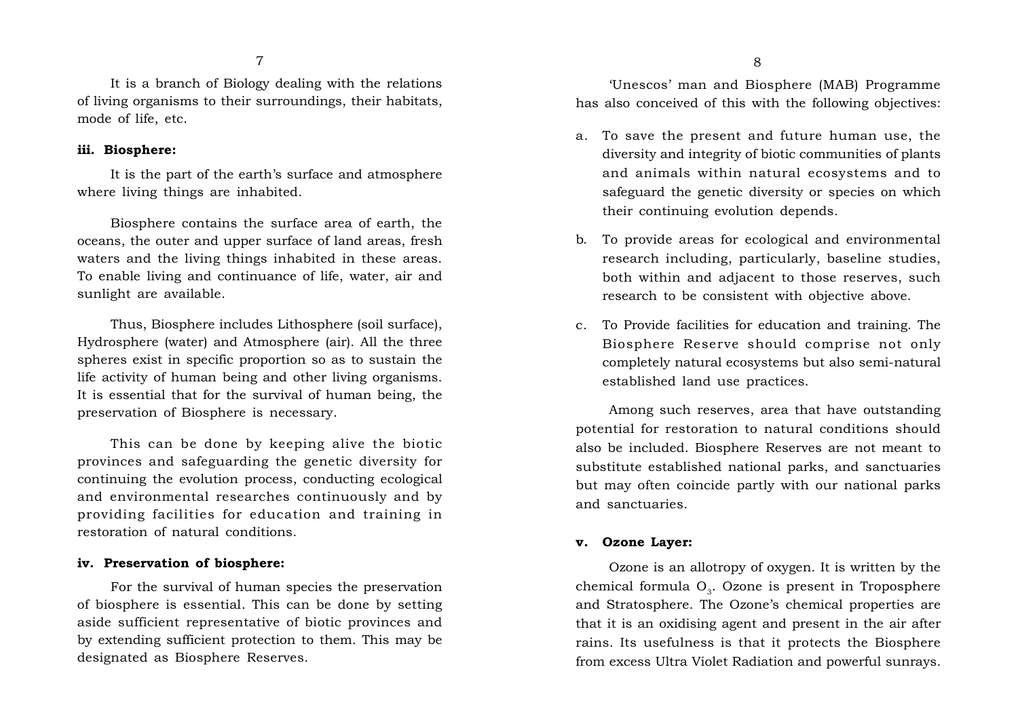It is a branch of Biology dealing with the relations of living organisms to their surroundings, their habitats, mode of life, etc.

#### **iii. Biosphere:**

It is the part of the earth's surface and atmosphere where living things are inhabited.

Biosphere contains the surface area of earth, the oceans, the outer and upper surface of land areas, fresh waters and the living things inhabited in these areas. To enable living and continuance of life, water, air and sunlight are available.

Thus, Biosphere includes Lithosphere (soil surface), Hydrosphere (water) and Atmosphere (air). All the three spheres exist in specific proportion so as to sustain the life activity of human being and other living organisms. It is essential that for the survival of human being, the preservation of Biosphere is necessary.

This can be done by keeping alive the biotic provinces and safeguarding the genetic diversity for continuing the evolution process, conducting ecological and environmental researches continuously and by providing facilities for education and training in restoration of natural conditions.

#### **iv. Preservation of biosphere:**

For the survival of human species the preservation of biosphere is essential. This can be done by setting aside sufficient representative of biotic provinces and by extending sufficient protection to them. This may be designated as Biosphere Reserves.

'Unescos' man and Biosphere (MAB) Programme has also conceived of this with the following objectives:

- a. To save the present and future human use, the diversity and integrity of biotic communities of plants and animals within natural ecosystems and to safeguard the genetic diversity or species on which their continuing evolution depends.
- b. To provide areas for ecological and environmental research including, particularly, baseline studies, both within and adjacent to those reserves, such research to be consistent with objective above.
- c. To Provide facilities for education and training. The Biosphere Reserve should comprise not only completely natural ecosystems but also semi-natural established land use practices.

Among such reserves, area that have outstanding potential for restoration to natural conditions should also be included. Biosphere Reserves are not meant to substitute established national parks, and sanctuaries but may often coincide partly with our national parks and sanctuaries.

#### **v. Ozone Layer:**

Ozone is an allotropy of oxygen. It is written by the chemical formula  $O<sub>3</sub>$ . Ozone is present in Troposphere and Stratosphere. The Ozone's chemical properties are that it is an oxidising agent and present in the air after rains. Its usefulness is that it protects the Biosphere from excess Ultra Violet Radiation and powerful sunrays.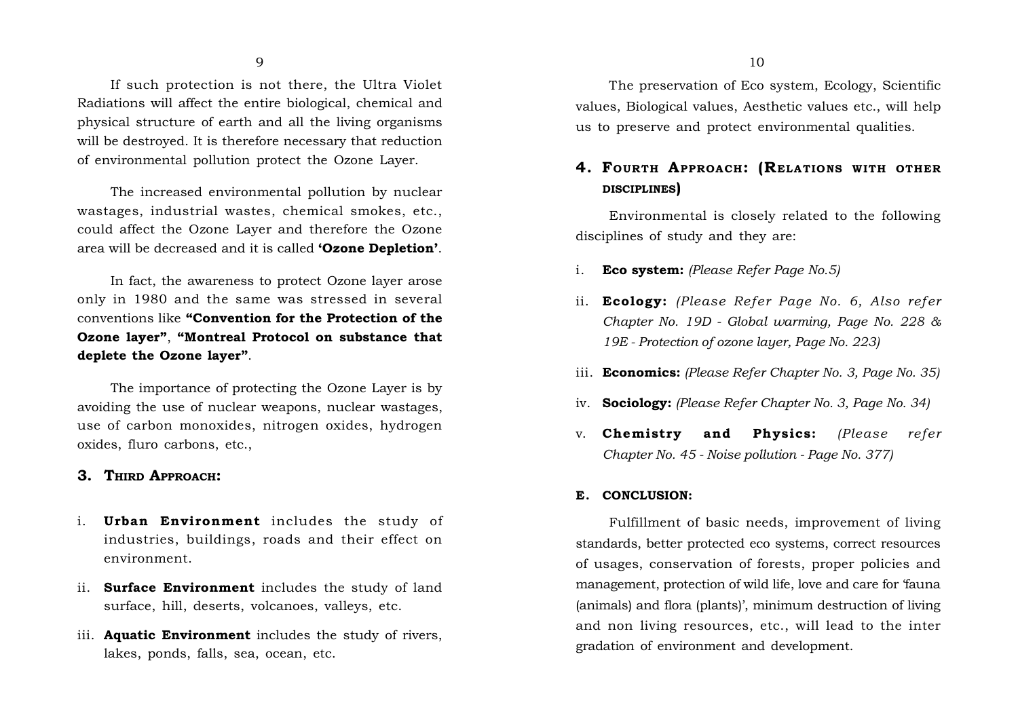If such protection is not there, the Ultra Violet Radiations will affect the entire biological, chemical and physical structure of earth and all the living organisms will be destroyed. It is therefore necessary that reduction of environmental pollution protect the Ozone Layer.

The increased environmental pollution by nuclear wastages, industrial wastes, chemical smokes, etc., could affect the Ozone Layer and therefore the Ozone area will be decreased and it is called **'Ozone Depletion'**.

In fact, the awareness to protect Ozone layer arose only in 1980 and the same was stressed in several conventions like **"Convention for the Protection of the Ozone layer"**, **"Montreal Protocol on substance that deplete the Ozone layer"**.

The importance of protecting the Ozone Layer is by avoiding the use of nuclear weapons, nuclear wastages, use of carbon monoxides, nitrogen oxides, hydrogen oxides, fluro carbons, etc.,

### **3. THIRD APPROACH:**

- i. **Urban Environment** includes the study of industries, buildings, roads and their effect on environment.
- ii. **Surface Environment** includes the study of land surface, hill, deserts, volcanoes, valleys, etc.
- iii. **Aquatic Environment** includes the study of rivers, lakes, ponds, falls, sea, ocean, etc.

# **4. FOURTH APPROACH: (RELATIONS WITH OTHER DISCIPLINES)**

Environmental is closely related to the following disciplines of study and they are:

- i. **Eco system:** *(Please Refer Page No.5)*
- ii. **Ecology:** *(Please Refer Page No. 6, Also refer Chapter No. 19D - Global warming, Page No. 228 & 19E - Protection of ozone layer, Page No. 223)*
- iii. **Economics:** *(Please Refer Chapter No. 3, Page No. 35)*
- iv. **Sociology:** *(Please Refer Chapter No. 3, Page No. 34)*
- v. **Chemistry and Physics:** *(Please refer Chapter No. 45 - Noise pollution - Page No. 377)*

#### **E. CONCLUSION:**

Fulfillment of basic needs, improvement of living standards, better protected eco systems, correct resources of usages, conservation of forests, proper policies and management, protection of wild life, love and care for 'fauna (animals) and flora (plants)', minimum destruction of living and non living resources, etc., will lead to the inter gradation of environment and development.

 $9 \t\t 10$